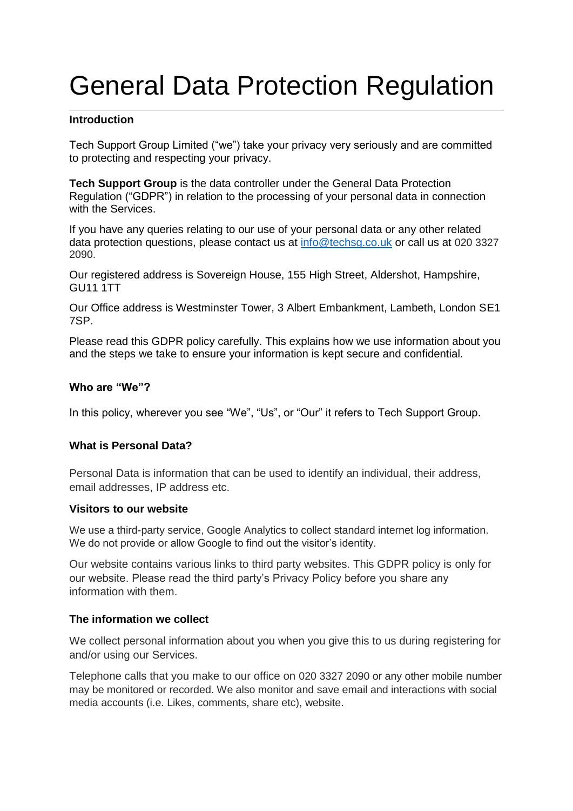# General Data Protection Regulation

## **Introduction**

Tech Support Group Limited ("we") take your privacy very seriously and are committed to protecting and respecting your privacy.

**Tech Support Group** is the data controller under the General Data Protection Regulation ("GDPR") in relation to the processing of your personal data in connection with the Services.

If you have any queries relating to our use of your personal data or any other related data protection questions, please contact us at [info@techsg.co.uk](mailto:info@techsg.co.uk) or call us at 020 3327 2090.

Our registered address is Sovereign House, 155 High Street, Aldershot, Hampshire, GU11 1TT

Our Office address is Westminster Tower, 3 Albert Embankment, Lambeth, London SE1 7SP.

Please read this GDPR policy carefully. This explains how we use information about you and the steps we take to ensure your information is kept secure and confidential.

## **Who are "We"?**

In this policy, wherever you see "We", "Us", or "Our" it refers to Tech Support Group.

## **What is Personal Data?**

Personal Data is information that can be used to identify an individual, their address, email addresses, IP address etc.

## **Visitors to our website**

We use a third-party service, Google Analytics to collect standard internet log information. We do not provide or allow Google to find out the visitor's identity.

Our website contains various links to third party websites. This GDPR policy is only for our website. Please read the third party's Privacy Policy before you share any information with them.

## **The information we collect**

We collect personal information about you when you give this to us during registering for and/or using our Services.

Telephone calls that you make to our office on 020 3327 2090 or any other mobile number may be monitored or recorded. We also monitor and save email and interactions with social media accounts (i.e. Likes, comments, share etc), website.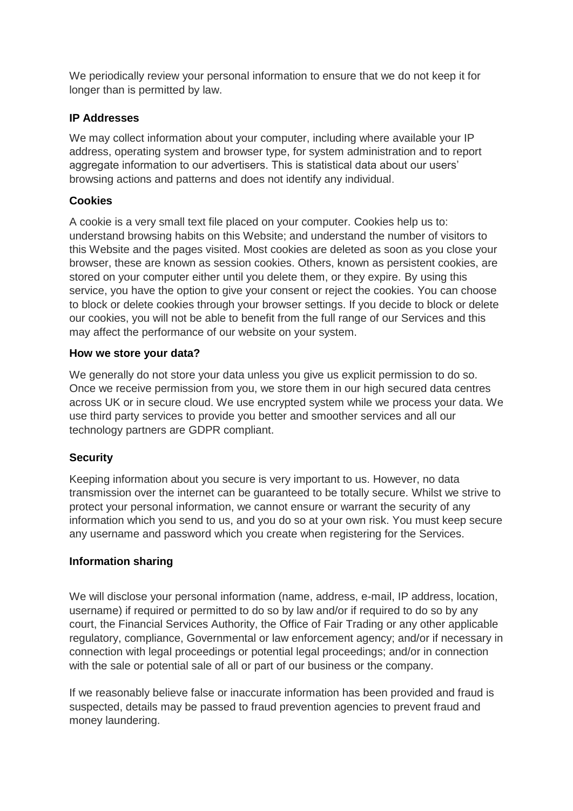We periodically review your personal information to ensure that we do not keep it for longer than is permitted by law.

# **IP Addresses**

We may collect information about your computer, including where available your IP address, operating system and browser type, for system administration and to report aggregate information to our advertisers. This is statistical data about our users' browsing actions and patterns and does not identify any individual.

# **Cookies**

A cookie is a very small text file placed on your computer. Cookies help us to: understand browsing habits on this Website; and understand the number of visitors to this Website and the pages visited. Most cookies are deleted as soon as you close your browser, these are known as session cookies. Others, known as persistent cookies, are stored on your computer either until you delete them, or they expire. By using this service, you have the option to give your consent or reject the cookies. You can choose to block or delete cookies through your browser settings. If you decide to block or delete our cookies, you will not be able to benefit from the full range of our Services and this may affect the performance of our website on your system.

# **How we store your data?**

We generally do not store your data unless you give us explicit permission to do so. Once we receive permission from you, we store them in our high secured data centres across UK or in secure cloud. We use encrypted system while we process your data. We use third party services to provide you better and smoother services and all our technology partners are GDPR compliant.

# **Security**

Keeping information about you secure is very important to us. However, no data transmission over the internet can be guaranteed to be totally secure. Whilst we strive to protect your personal information, we cannot ensure or warrant the security of any information which you send to us, and you do so at your own risk. You must keep secure any username and password which you create when registering for the Services.

# **Information sharing**

We will disclose your personal information (name, address, e-mail, IP address, location, username) if required or permitted to do so by law and/or if required to do so by any court, the Financial Services Authority, the Office of Fair Trading or any other applicable regulatory, compliance, Governmental or law enforcement agency; and/or if necessary in connection with legal proceedings or potential legal proceedings; and/or in connection with the sale or potential sale of all or part of our business or the company.

If we reasonably believe false or inaccurate information has been provided and fraud is suspected, details may be passed to fraud prevention agencies to prevent fraud and money laundering.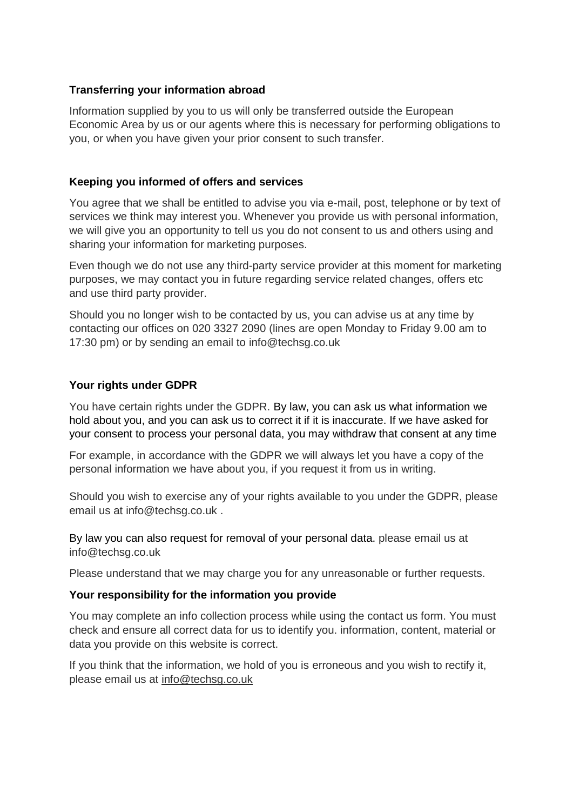## **Transferring your information abroad**

Information supplied by you to us will only be transferred outside the European Economic Area by us or our agents where this is necessary for performing obligations to you, or when you have given your prior consent to such transfer.

## **Keeping you informed of offers and services**

You agree that we shall be entitled to advise you via e-mail, post, telephone or by text of services we think may interest you. Whenever you provide us with personal information, we will give you an opportunity to tell us you do not consent to us and others using and sharing your information for marketing purposes.

Even though we do not use any third-party service provider at this moment for marketing purposes, we may contact you in future regarding service related changes, offers etc and use third party provider.

Should you no longer wish to be contacted by us, you can advise us at any time by contacting our offices on 020 3327 2090 (lines are open Monday to Friday 9.00 am to 17:30 pm) or by sending an email to info@techsg.co.uk

## **Your rights under GDPR**

You have certain rights under the GDPR. By law, you can ask us what information we hold about you, and you can ask us to correct it if it is inaccurate. If we have asked for your consent to process your personal data, you may withdraw that consent at any time

For example, in accordance with the GDPR we will always let you have a copy of the personal information we have about you, if you request it from us in writing.

Should you wish to exercise any of your rights available to you under the GDPR, please email us at info@techsg.co.uk .

By law you can also request for removal of your personal data. please email us at info@techsg.co.uk

Please understand that we may charge you for any unreasonable or further requests.

## **Your responsibility for the information you provide**

You may complete an info collection process while using the contact us form. You must check and ensure all correct data for us to identify you. information, content, material or data you provide on this website is correct.

If you think that the information, we hold of you is erroneous and you wish to rectify it, please email us at [info@techsg.co.uk](mailto:info@techsg.co.uk)